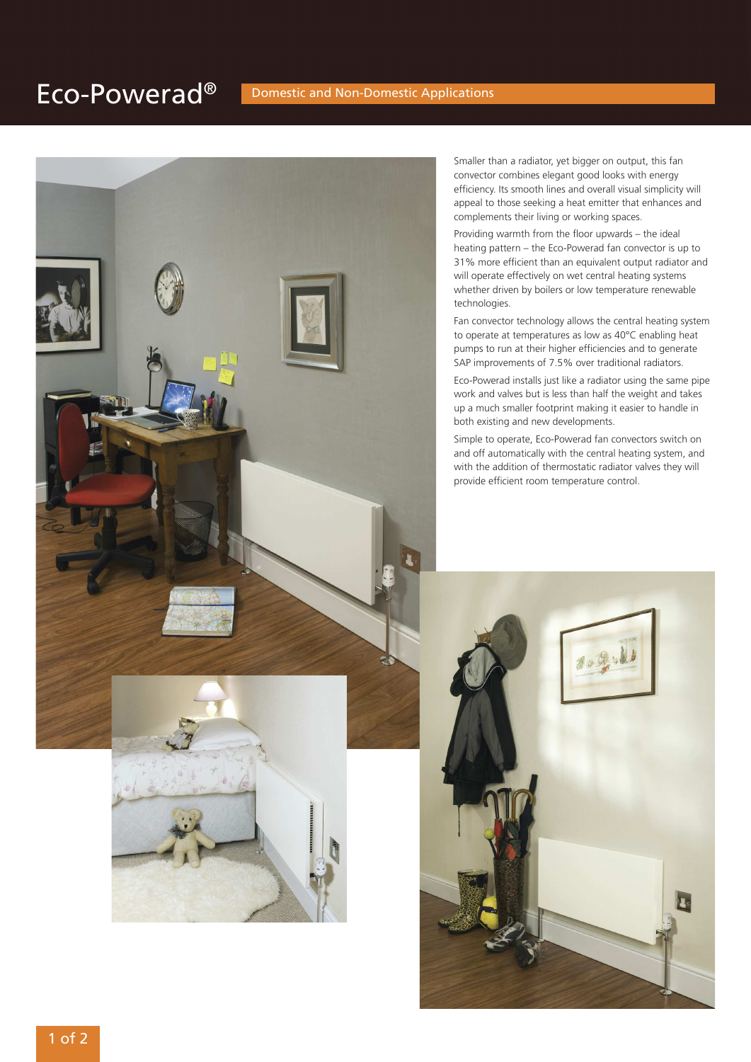# Eco-Powerad<sup>®</sup> Domestic and Non-Domestic Applications



Smaller than a radiator, yet bigger on output, this fan convector combines elegant good looks with energy efficiency. Its smooth lines and overall visual simplicity will appeal to those seeking a heat emitter that enhances and complements their living or working spaces.

Providing warmth from the floor upwards – the ideal heating pattern – the Eco-Powerad fan convector is up to 31% more efficient than an equivalent output radiator and will operate effectively on wet central heating systems whether driven by boilers or low temperature renewable technologies.

Fan convector technology allows the central heating system to operate at temperatures as low as 40°C enabling heat pumps to run at their higher efficiencies and to generate SAP improvements of 7.5% over traditional radiators.

Eco-Powerad installs just like a radiator using the same pipe work and valves but is less than half the weight and takes up a much smaller footprint making it easier to handle in both existing and new developments.

Simple to operate, Eco-Powerad fan convectors switch on and off automatically with the central heating system, and with the addition of thermostatic radiator valves they will provide efficient room temperature control.